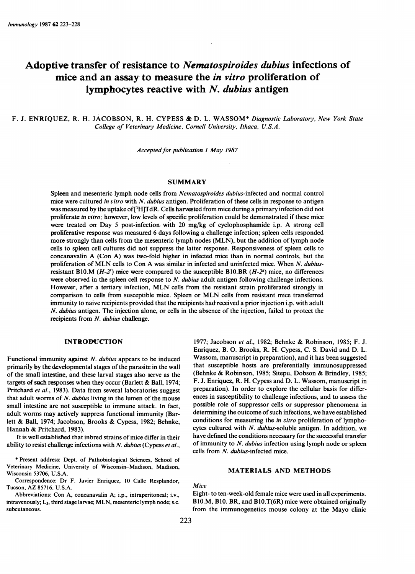# Adoptive transfer of resistance to Nematospiroides dubius infections of mice and an assay to measure the in vitro proliferation of lymphocytes reactive with N. dubius antigen

# F. J. ENRIQUEZ, R. H. JACOBSON, R. H. CYPESS & D. L. WASSOM<sup>\*</sup> Diagnostic Laboratory, New York State College of Veterinary Medicine, Cornell University, Ithaca, U.S.A.

Accepted for publication 1 May 1987

## **SUMMARY**

Spleen and mesenteric lymph node cells from Nematospiroides dubius-infected and normal control mice were cultured in vitro with N. dubius antigen. Proliferation of these cells in response to antigen was measured by the uptake of[3H]TdR. Cells harvested from mice during a primary infection did not proliferate in vitro; however, low levels of specific proliferation could be demonstrated if these mice were treated on Day 5 post-infection with 20 mg/kg of cyclophosphamide i.p. A strong cell proliferative response was measured 6 days following a challenge infection; spleen cells responded more strongly than cells from the mesenteric lymph nodes (MLN), but the addition of lymph node cells to spleen cell cultures did not suppress the latter response. Responsiveness of spleen cells to concanavalin A (Con A) was two-fold higher in infected mice than in normal controls, but the proliferation of MLN cells to Con A was similar in infected and uninfected mice. When N. dubiusresistant B10.M ( $H-2<sup>k</sup>$ ) mice were compared to the susceptible B10.BR ( $H-2<sup>k</sup>$ ) mice, no differences were observed in the spleen cell response to  $N$ . *dubius* adult antigen following challenge infections. However, after <sup>a</sup> tertiary infection, MLN cells from the resistant strain proliferated strongly in comparison to cells from susceptible mice. Spleen or MLN cells from resistant mice transferred immunity to naive recipients provided that the recipients had- received a prior injection i.p. with adult N. dubius antigen. The injection alone, or cells in the absence of the injection, failed to protect the recipients from N. dubius challenge.

## INTRODUCTION

Functional immunity against  $N$ . dubius appears to be induced primarily by the developmental stages of the parasite in the wall of the small intestine, and these larval stages also serve as the targets of such responses when they occur (Barlett  $\&$  Ball, 1974; Pritchard et al., 1983). Data from several laboratories suggest that adult worms of  $N$ . *dubius* living in the lumen of the mouse small intestine are not susceptible to immune attack. In fact, adult worms may actively suppress functional immunity (Barlett & Ball, 1974; Jacobson, Brooks & Cypess, 1982; Behnke, Hannah & Pritchard, 1983).

It is well established that inbred strains of mice differ in their ability to resist challenge infections with  $N$ . dubius (Cypess et al.,

\* Present address: Dept. of Pathobiological Sciences, School of Veterinary Medicine, University of Wisconsin-Madison, Madison, Wisconsin 53706, U.S.A.

Correspondence: Dr F. Javier Enriquez, 10 Calle Resplandor, Tucson, AZ 85716, U.S.A.

Abbreviations: Con A, concanavalin A; i.p., intraperitoneal; i.v., intravenously; L3, third stage larvae; MLN, mesenteric lymph node; s.c. subcutaneous.

1977; Jacobson et al., 1982; Behnke & Robinson, 1985; F. J. Enriquez, B. 0. Brooks, R. H. Cypess, C. S. David and D. L. Wassom, manuscript in preparation), and it has been suggested that susceptible hosts are preferentially immunosuppressed (Behnke & Robinson, 1985; Sitepu, Dobson & Brindley, 1985; F. J. Enriquez, R. H. Cypess and D. L. Wassom, manuscript in preparation). In order to explore the cellular basis for differences in susceptibility to challenge infections, and to assess the possible role of suppressor cells or suppressor phenomena in determining the outcome of such infections, we have established conditions for measuring the in vitro proliferation of lymphocytes cultured with N. dubius-soluble antigen. In addition, we have defined the conditions necessary for the successful transfer of immunity to  $N$ . dubius infection using lymph node or spleen cells from N. dubius-infected mice.

## MATERIALS AND METHODS

Mice

Eight- to ten-week-old female mice were used in all experiments. BIO.M, B10. BR, and BIO.T(6R) mice were obtained originally from the immunogenetics mouse colony at the Mayo clinic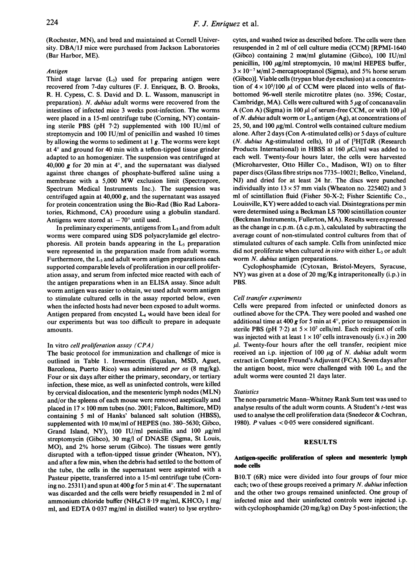(Rochester, MN), and bred and maintained at Cornell University. DBA/lJ mice were purchased from Jackson Laboratories (Bar Harbor, ME).

## Antigen

Third stage larvae  $(L_3)$  used for preparing antigen were recovered from 7-day cultures (F. J. Enriquez, B. 0. Brooks, R. H. Cypess, C. S. David and D. L. Wassom, manuscript in preparation). N. dubius adult worms were recovered from the intestines of infected mice 3 weeks post-infection. The worms were placed in a 15-ml centrifuge tube (Corning, NY) containing sterile PBS (pH 7-2) supplemented with 100 IU/ml of streptomycin and 100 IU/ml of penicillin and washed 10 times by allowing the worms to sediment at  $1g$ . The worms were kept at  $4^\circ$  and ground for 40 min with a teflon-tipped tissue grinder adapted to an homogenizer. The suspension was centrifuged at 40,000  $g$  for 20 min at 4°, and the supernatant was dialysed against three changes of phosphate-buffered saline using a membrane with <sup>a</sup> 5,000 MW exclusion limit (Spectrapore, Spectrum Medical Instruments Inc.). The suspension was centrifuged again at 40,000 g, and the supernatant was assayed for protein concentration using the Bio-Rad (Bio Rad Laboratories, Richmond, CA) procedure using a globulin standard. Antigens were stored at  $-70^{\circ}$  until used.

In preliminary experiments, antigens from  $L_3$  and from adult worms were compared using SDS polyacrylamide gel electrophoresis. All protein bands appearing in the  $L_3$  preparation were represented in the preparation made from adult worms. Furthermore, the  $L_3$  and adult worm antigen preparations each supported comparable levels of proliferation in our cell proliferation assay, and serum from infected mice reacted with each of the antigen preparations when in an ELISA assay. Since adult worm antigen was easier to obtain, we used adult worm antigen to stimulate cultured cells in the assay reported below, even when the infected hosts had never been exposed to adult worms. Antigen prepared from encysted L4 would have been ideal for our experiments but was too difficult to prepare in adequate amounts.

#### In vitro cell proliferation assay (CPA)

The basic protocol for immunization and challenge of mice is outlined in Table 1. Invermectin (Equalan, MSD, Aguet, Barcelona, Puerto Rico) was administered per os (8 mg/kg). Four or six days after either the primary, secondary, or tertiary infection, these mice, as well as uninfected controls, were killed by cervical dislocation, and the mesenteric lymph nodes (MLN) and/or the spleens of each mouse were removed aseptically and placed in  $17 \times 100$  mm tubes (no. 2001; Falcon, Baltimore, MD) containing 5 ml of Hanks' balanced salt solution (HBSS), supplemented with <sup>10</sup> mM/ml of HEPES (no. 380-5630; Gibco, Grand Island, NY), 100 IU/ml penicillin and 100  $\mu$ g/ml streptomycin (Gibco), <sup>30</sup> mg/l of DNASE (Sigma, St Louis, MO), and 2% horse serum (Gibco). The tissues were gently disrupted with a teflon-tipped tissue grinder (Wheaton, NY), and after a few min, when the debris had settled to the bottom of the tube, the cells in the supernatant were aspirated with a Pasteur pipette, transferred into a 15-ml centrifuge tube (Corning no. 25311) and spun at 400 g for 5 min at  $4^\circ$ . The supernatant was discarded and the cells were briefly resuspended in 2 ml of ammonium chloride buffer (NH<sub>4</sub>Cl 8.19 mg/ml, KHCO<sub>3</sub> 1 mg/ ml, and EDTA 0-037 mg/ml in distilled water) to lyse erythrocytes, and washed twice as described before. The cells were then resuspended in 2 ml of cell culture media (CCM) [RPMI-1640 (Gibco) containing 2 mM/ml glutamine (Gibco), 100 IU/ml penicillin, 100  $\mu$ g/ml streptomycin, 10 mm/ml HEPES buffer,  $3 \times 10^{-7}$  M/ml 2-mercaptoeptanol (Sigma), and 5% horse serum (Gibco)]. Viable cells (trypan blue dye exclusion) at a concentration of  $4 \times 10^5/100$  µl of CCM were placed into wells of flatbottomed 96-well sterile microtitre plates (no. 3596; Costar, Cambridge, MA). Cells were cultured with 5  $\mu$ g of concanavalin A (Con A) (Sigma) in 100  $\mu$ l of serum-free CCM, or with 100  $\mu$ l of N. dubius adult worm or  $L_3$  antigen (Ag), at concentrations of 25, 50, and 100  $\mu$ g/ml. Control wells contained culture medium alone. After 2 days (Con A-stimulated cells) or 5 days of culture (N. dubius Ag-stimulated cells), 10  $\mu$ l of [<sup>3</sup>H]TdR (Research Products International) in HBSS at 160  $\mu$ Ci/ml was added to each well. Twenty-four hours later, the cells were harvested (Microharvester, Otto Hiller Co., Madison, WI) on to filter paper discs (Glass fibre strips nos 7735-10021; Bellco, Vineland, NJ) and dried for at least 24 hr. The discs were punched individually into  $13 \times 57$  mm vials (Wheaton no. 225402) and 3 ml of scintillation fluid (Fisher 50-X-2; Fisher Scientific Co., Louisville, KY) were added to each vial. Disintegrations per min were determined using a Beckman LS 7000 scintillation counter (Beckman Instruments, Fullerton, MA). Results were expressed as the change in c.p.m.  $(\Delta$  c.p.m.), calculated by subtracting the average count of non-stimulated control cultures from that of stimulated cultures of each sample. Cells from uninfected mice did not proliferate when cultured in vitro with either  $L_3$  or adult worm *N. dubius* antigen preparations.

Cyclophosphamide (Cytoxan, Bristol-Meyers, Syracuse, NY) was given at a dose of 20 mg/Kg intraperitoneally (i.p.) in PBS.

#### Cell transfer experiments

Cells were prepared from infected or uninfected donors as outlined above for the CPA. They were pooled and washed one additional time at 400 g for 5 min at  $4^{\circ}$ , prior to resuspension in sterile PBS (pH 7.2) at  $5 \times 10^7$  cells/ml. Each recipient of cells was injected with at least  $1 \times 10^7$  cells intravenously (i.v.) in 200  $\mu$ . Twenty-four hours after the cell transfer, recipient mice received an i.p. injection of 100  $\mu$ g of N. dubius adult worm extract in Complete Freund's Adjuvant (FCA). Seven days after the antigen boost, mice were challenged with  $100 L<sub>3</sub>$  and the adult worms were counted 21 days later.

#### **Statistics**

The non-parametric Mann-Whitney Rank Sum test was used to analyse results of the adult worm counts. A Student's t-test was used to analyse the cell proliferation data (Snedecor & Cochran, 1980). P values  $< 0.05$  were considered significant.

#### RESULTS

## Antigen-specific proliferation of spleen and mesenteric lymph node cells

B1O.T (6R) mice were divided into four groups of four mice each; two of these groups received a primary N. dubius infection and the other two groups remained uninfected. One group of infected mice and their uninfected controls were injected i.p. with cyclophosphamide (20 mg/kg) on Day <sup>5</sup> post-infection; the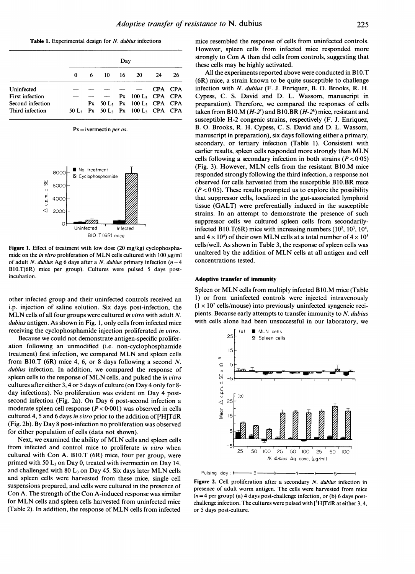Table 1. Experimental design for N. dubius infections

|                  |   | Dav |            |  |                                                                      |    |         |
|------------------|---|-----|------------|--|----------------------------------------------------------------------|----|---------|
|                  | 0 | 6.  | $10 \t 16$ |  | 20                                                                   | 24 | 26      |
| Uninfected       |   |     |            |  |                                                                      |    | CPA CPA |
| First infection  |   |     |            |  | $Px$ 100 $L_3$ CPA CPA                                               |    |         |
| Second infection |   |     |            |  | Px $50 L_3$ Px $100 L_3$ CPA CPA                                     |    |         |
| Third infection  |   |     |            |  | 50 L <sub>3</sub> Px 50 L <sub>3</sub> Px 100 L <sub>3</sub> CPA CPA |    |         |

 $Px = i$ vermectin *per os*.



Figure 1. Effect of treatment with low dose (20 mg/kg) cyclophosphamide on the *in vitro* proliferation of MLN cells cultured with 100  $\mu$ g/ml of adult N. dubius Ag 6 days after a N. dubius primary infection  $(n=4)$ B1O.T(6R) mice per group). Cultures were pulsed 5 days postincubation.

other infected group and their uninfected controls received an i.p. injection of saline solution. Six days post-infection, the MLN cells of all four groups were cultured in vitro with adult N. dubius antigen. As shown in Fig. 1, only cells from infected mice receiving the cyclophosphamide injection proliferated in vitro.

Because we could not demonstrate antigen-specific proliferation following an unmodified (i.e. non-cyclophosphamide treatment) first infection, we compared MLN and spleen cells from B10.T (6R) mice 4, 6, or 8 days following a second  $N$ . dubius infection. In addition, we compared the response of spleen cells to the response of MLN cells, and pulsed the in vitro cultures after either 3, 4 or <sup>5</sup> days of culture (on Day 4 only for 8 day infections). No proliferation was evident on Day 4 postsecond infection (Fig. 2a). On Day 6 post-second infection <sup>a</sup> moderate spleen cell response  $(P < 0.001)$  was observed in cells cultured 4, 5 and 6 days in vitro prior to the addition of [3H]TdR (Fig. 2b). By Day <sup>8</sup> post-infection no proliferation was observed for either population of cells (data not shown).

Next, we examined the ability of MLN cells and spleen cells from infected and control mice to proliferate in vitro when cultured with Con A. BIO.T (6R) mice, four per group, were primed with 50  $L_3$  on Day 0, treated with ivermectin on Day 14, and challenged with 80  $L_3$  on Day 45. Six days later MLN cells and spleen cells were harvested from these mice, single cell suspensions prepared, and cells were cultured in the presence of Con A. The strength of the Con A-induced response was similar for MLN cells and spleen cells harvested from uninfected mice (Table 2). In addition, the response of MLN cells from infected

mice resembled the response of cells from uninfected controls. However, spleen cells from infected mice responded more strongly to Con A than did cells from controls, suggesting that these cells may be highly activated.

All the experiments reported above were conducted in B10.T (6R) mice, a strain known to be quite susceptible to challenge infection with  $N$ . dubius (F. J. Enriquez, B. O. Brooks, R. H. Cypess, C. S. David and D. L. Wassom, manuscript in preparation). Therefore, we compared the responses of cells taken from B10.M  $(H-2<sup>f</sup>)$  and B10.BR  $(H-2<sup>k</sup>)$  mice, resistant and susceptible H-2 congenic strains, respectively (F. J. Enriquez, B. 0. Brooks, R. H. Cypess, C. S. David and D. L. Wassom, manuscript in preparation), six days following either a primary, secondary, or tertiary infection (Table 1). Consistent with earlier results, spleen cells responded more strongly than MLN cells following a secondary infection in both strains  $(P < 0.05)$ (Fig. 3). However, MLN cells from the resistant BIO.M mice responded strongly following the third infection, a response not observed for cells harvested from the susceptible BlO.BR mice  $(P < 0.05)$ . These results prompted us to explore the possibility that suppressor cells, localized in the gut-associated lymphoid tissue (GALT) were preferentially induced in the susceptible strains. In an attempt to demonstrate the presence of such suppressor cells we cultured spleen cells from secondarilyinfected B10.T( $6R$ ) mice with increasing numbers ( $10^2$ ,  $10^3$ ,  $10^4$ , and  $4 \times 10^4$ ) of their own MLN cells at a total number of  $4 \times 10^5$ cells/well. As shown in Table 3, the response of spleen cells was unaltered by the addition of MLN cells at all antigen and cell concentrations tested.

#### Adoptive transfer of immunity

Pulsing day:  $1.33$ 

or 5 days post-culture.

Spleen or MLN cells from multiply infected BIO.M mice (Table 1) or from uninfected controls were injected intravenously  $(1 \times 10^7 \text{ cells/mouse})$  into previously uninfected syngeneic recipients. Because early attempts to transfer immunity to  $N$ . dubius with cells alone had been unsuccessful in our laboratory, we



Figure 2. Cell proliferation after a secondary N. dubius infection in presence of adult worm antigen. The cells were harvested from mice  $(n=4$  per group) (a) 4 days post-challenge infection, or (b) 6 days postchallenge infection. The cultures were pulsed with  $[{}^{3}H]TdR$  at either 3, 4,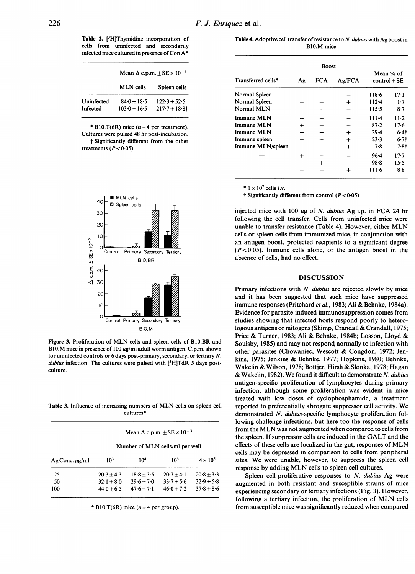Table 2. [<sup>3</sup>H]Thymidine incorporation of cells from uninfected and secondarily infected mice cultured in presence of Con  $A^*$ 

|                        | Mean $\Delta$ c.p.m. $\pm$ SE $\times$ 10 <sup>-3</sup> |                                    |  |  |
|------------------------|---------------------------------------------------------|------------------------------------|--|--|
|                        | <b>MLN</b> cells                                        | Spleen cells                       |  |  |
| Uninfected<br>Infected | $84.0 + 18.5$<br>$103.0 + 16.5$                         | $122.3 \pm 52.5$<br>$217.7 + 18.8$ |  |  |

\* B10.T(6R) mice  $(n=4$  per treatment). Cultures were pulsed 48 hr post-incubation. t Significantly different from the other treatments  $(P < 0.05)$ .



Figure 3. Proliferation of MLN cells and spleen cells of B1O.BR and B10.M mice in presence of 100  $\mu$ g/ml adult worm antigen. C.p.m. shown for uninfected controls or 6 days post-primary, secondary, or tertiary N. dubius infection. The cultures were pulsed with  $[3H]TdR$  5 days postculture.

Table 3. Influence of increasing numbers of MLN cells on spleen cell cultures\*

| $AgConc. \mu g/ml$ | Mean $\Delta$ c.p.m. $\pm$ SE $\times$ 10 <sup>-3</sup> |                 |                 |                 |  |  |  |
|--------------------|---------------------------------------------------------|-----------------|-----------------|-----------------|--|--|--|
|                    | Number of MLN cells/ml per well                         |                 |                 |                 |  |  |  |
|                    | 10 <sup>3</sup>                                         | 10 <sup>4</sup> | 10 <sup>5</sup> | $4 \times 10^5$ |  |  |  |
| 25                 | $20.3 + 4.3$                                            | $18.8 + 3.5$    | $20.7 + 4.1$    | $20.8 + 3.3$    |  |  |  |
| 50                 | $32 \cdot 1 + 8 \cdot 0$                                | $29.6 + 7.0$    | $33.7 + 5.6$    | $32.9 + 5.8$    |  |  |  |
| 100                | $44.0 + 6.5$                                            | $47.6 + 7.1$    | $46.0 + 7.2$    | $37.8 + 8.6$    |  |  |  |

\* B10.T(6R) mice  $(n=4$  per group).

Table 4. Adoptive cell transfer of resistance to N. dubius with Ag boost in BlO.M mice

| Transferred cells* |    | <b>Boost</b> |        |                               |          |
|--------------------|----|--------------|--------|-------------------------------|----------|
|                    | Ag | FCA          | Ag/FCA | Mean % of<br>control $\pm$ SE |          |
| Normal Spleen      |    |              |        | 118.6                         | $17 - 1$ |
| Normal Spleen      |    |              |        | $112 - 4$                     | $1-7$    |
| Normal MLN         |    |              |        | 115.5                         | 8.7      |
| Immune MLN         |    |              |        | $111-4$                       | $11-2$   |
| <b>Immune MLN</b>  |    |              |        | 87.2                          | $17-6$   |
| <b>Immune MLN</b>  |    |              |        | 29.4                          | $6.4$ †  |
| Immune spleen      |    |              | ┿      | 23.3                          | $6.7$ t  |
| Immune MLN/spleen  |    |              | ┿      | 7.8                           | $7.8 +$  |
|                    |    |              |        | $96 - 4$                      | $17 - 7$ |
|                    |    |              |        | 98.8                          | 15.5     |
|                    |    |              |        | 111.6                         | 8.8      |

 $* 1 \times 10^7$  cells i.v.

 $\dagger$  Significantly different from control ( $P < 0.05$ )

injected mice with 100  $\mu$ g of N. dubius Ag i.p. in FCA 24 hr following the cell transfer. Cells from uninfected mice were unable to transfer resistance (Table 4). However, either MLN cells or spleen cells from immunized mice, in conjunction with an antigen boost, protected recipients to a significant degree  $(P < 0.05)$ . Immune cells alone, or the antigen boost in the absence of cells, had no effect.

## DISCUSSION

Primary infections with N. dubius are rejected slowly by mice and it has been suggested that such mice have suppressed immune responses (Pritchard et al., 1983; Ali & Behnke, 1984a). Evidence for parasite-induced immunosuppression comes from studies showing that infected hosts respond poorly to heterologous antigens or mitogens (Shimp, Crandall & Crandall, 1975; Price & Turner, 1983; Ali & Behnke, 1984b; Losson, Lloyd & Soulsby, 1985) and may not respond normally to infection with other parasites (Chowaniec, Wescott & Congdon, 1972; Jenkins, 1975; Jenkins & Behnke, 1977; Hopkins, 1980; Behnke, Wakelin & Wilson, 1978; Bottjer, Hirsh & Slonka, 1978; Hagan & Wakelin, 1982). We found it difficult to demonstrate N. dubius antigen-specific proliferation of lymphocytes during primary infection, although some proliferation was evident in mice treated with low doses of cyclophosphamide, a treatment reported to preferentially abrogate suppressor cell activity. We demonstrated N. dubius-specific lymphocyte proliferation following challenge infections, but here too the response of cells from the MLN was not augmented when compared to cells from the spleen. If suppressor cells are induced in the GALT and the effects of these cells are localized in the gut, responses of MLN cells may be depressed in comparison to cells from peripheral sites. We were unable, however, to suppress the spleen cell response by adding MLN cells to spleen cell cultures.

Spleen cell-proliferative responses to N. dubius Ag were augmented in both resistant and susceptible strains of mice experiencing secondary or tertiary infections (Fig. 3). However, following <sup>a</sup> tertiary infection, the proliferation of MLN cells from susceptible mice was significantly reduced when compared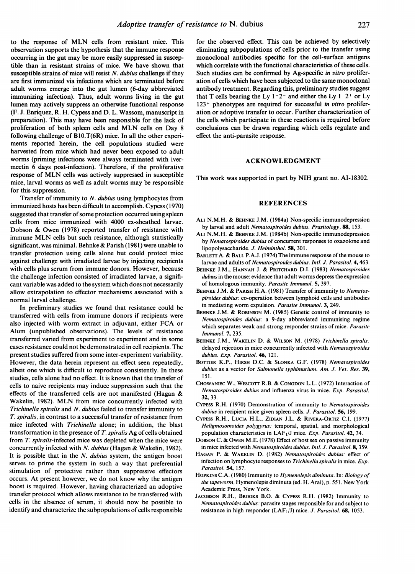to the response of MLN cells from resistant mice. This observation supports the hypothesis that the immune response occurring in the gut may be more easily suppressed in susceptible than in resistant strains of mice. We have shown that susceptible strains of mice will resist  $N$ . dubius challenge if they are first immunized via infections which are terminated before adult worms emerge into the gut lumen (6-day abbreviated immunizing infection). Thus, adult worms living in the gut lumen may actively suppress an otherwise functional response (F. J. Enriquez, R. H. Cypess and D. L. Wassom, manuscript in preparation). This may have been responsible for the lack of proliferation of both spleen cells and MLN cells on Day <sup>8</sup> following challenge of B1O.T(6R) mice. In all the other experiments reported herein, the cell populations studied were harvested from mice which had never been exposed to adult worms (priming infections were always terminated with ivermectin 6 days post-infection). Therefore, if the proliferative response of MLN cells was actively suppressed in susceptible mice, larval worms as well as adult worms may be responsible for this suppression.

Transfer of immunity to N. dubius using lymphocytes from immunized hosts has been difficult to accomplish. Cypess (1970) suggested that transfer of some protection occurred using spleen cells from mice immunized with 4000 ex-sheathed larvae. Dobson & Owen (1978) reported transfer of resistance with immune MLN cells but such resistance, although statistically significant, was minimal. Behnke & Parish (1981) were unable to transfer protection using cells alone but could protect mice against challenge with irradiated larvae by injecting recipients with cells plus serum from immune donors. However, because the challenge infection consisted of irradiated larvae, a significant variable was added to the system which does not necessarily allow extrapolation to effector mechanisms associated with a normal larval challenge.

In preliminary studies we found that resistance could be transferred with cells from immune donors if recipients were also injected with worm extract in adjuvant, either FCA or Alum (unpublished observations). The levels of resistance transferred varied from experiment to experiment and in some cases resistance could not be demonstrated in cell recipients. The present studies suffered from some inter-experiment variability. However, the data herein represent an effect seen repeatedly, albeit one which is difficult to reproduce consistently. In these studies, cells alone had no effect. It is known that the transfer of cells to naive recipients may induce suppression such that the effects of the transferred cells are not manifested (Hagan & Wakelin, 1982). MLN from mice concurrently infected with Trichinella spiralis and N. dubius failed to transfer immunity to T. spiralis, in contrast to a successful transfer of resistance from mice infected with Trichinella alone; in addition, the blast transformation in the presence of  $T$ . spiralis Ag of cells obtained from  $T$ . spiralis-infected mice was depleted when the mice were concurrently infected with N. dubius (Hagan & Wakelin, 1982). It is possible that in the  $N$ . *dubius* system, the antigen boost serves to prime the system in such a way that preferential stimulation of protective rather than suppressive effectors occurs. At present however, we do not know why the antigen boost is required. However, having characterized an adoptive transfer protocol which allows resistance to be transferred with cells in the absence of serum, it should now be possible to identify and characterize the subpopulations of cells responsible

for the observed effect. This can be achieved by selectively eliminating subpopulations of cells prior to the transfer using monoclonal antibodies specific for the cell-surface antigens which correlate with the functional characteristics of these cells. Such studies can be confirmed by Ag-specific in vitro proliferation of cells which have been subjected to the same monoclonal antibody treatment. Regarding this, preliminary studies suggest that T cells bearing the Ly  $1+2^-$  and either the Ly  $1-2^+$  or Ly  $123<sup>+</sup>$  phenotypes are required for successful in vitro proliferation or adoptive transfer to occur. Further characterization of the cells which participate in these reactions is required before conclusions can be drawn regarding which cells regulate and effect the anti-parasite response.

## ACKNOWLEDGMENT

This work was supported in part by NIH grant no. AI-18302.

## REFERENCES

- ALU N.M.H. & BEHNKE J.M. (1984a) Non-specific immunodepression by larval and adult Nematospiroides dubius. Prasitology, 88, 153.
- ALU N.M.H. & BEHNKE J.M. (1984b) Non-specific immunodepression by Nematospiroides dubius of concurrent responses to oxazolone and lipopolysaccharide. J. Helminthol. 58, 301.
- BARLETT A. & BALL P.A.J. (1974) The immune response of the mouse to larvae and adults of Nematospiroides dubius. Intl. J. Parasitol. 4, 463.
- BEHNKE J.M., HANNAH J. & PRITCHARD D.I. (1983) Nematospiroides dubius in the mouse: evidence that adult worms depress the expression of homologous immunity. Parasite Immunol. 5, 397.
- BEHNKE J.M. & PARISH H.A. (1981) Transfer of immunity to Nematospiroides dubius: co-operation between lymphoid cells and antibodies in mediating worm expulsion. Parasite Immunol. 3, 249.
- BEHNKE J.M. & ROBINSON M. (1985) Genetic control of immunity to Nematospiroides dubius: a 9-day abbreviated immunising regime which separates weak and strong responder strains of mice. Parasite Immunol. 7, 235.
- BEHNKE J.M., WAKELIN D. & WILSON M. (1978) Trichinella spiralis: delayed rejection in mice concurrently infected with Nematospiroides dubius. Exp. Parasitol. 46, 121.
- BOTTJER K.P., HIRSH D.C. & SLONKA G.F. (1978) Nematospiroides dubius as a vector for Salmonella typhimurium. Am. J. Vet. Res. 39, 151.
- CHOWANIEC W., WEscoTT R.B. & CONGDON L.L. (1972) Interaction of Nematospiroides dubius and influenza virus in mice. Exp. Parasitol. 32, 33.
- CYPESS R.H. (1970) Demonstration of immunity to Nematospiroides dubius in recipient mice given spleen cells. J. Parasitol. 56, 199.
- CYPESS R.H., LUCIA H.L., ZIDIAN J.L. & RIVERA-ORTIZ C.I. (1977) Heligmosomoides polygyrus. temporal, spatial, and morphological population characteristics in  $LAF<sub>1</sub>/J$  mice. Exp. Parasitol. 42, 34.
- DOBSON C. & OWEN M.E. (1978) Effect of host sex on passive immunity in mice infected with Nematospiroides dubius. Intl. J. Parasitol. 8, 359.
- HAGAN P. & WAKELIN D. (1982) Nematospiroides dubius. effect of infection on lymphocyte responses to Trichinella spiralis in mice.  $Exp$ . Parasitol. 54, 157.
- HOPKINS C.A. (1980) Immunity to Hymenolepis diminuta. In: Biology of the tapeworm, Hymenolepis diminuta (ed. H. Arai), p. 551. New York Academic Press, New York.
- JACOBSON R.H., BROOKS B.O. & CYPESS R.H. (1982) Immunity to Nematospiroides dubius: parasite stages responsible for and subject to resistance in high responder ( $LAF<sub>1</sub>/J$ ) mice. *J. Parasitol.* 68, 1053.